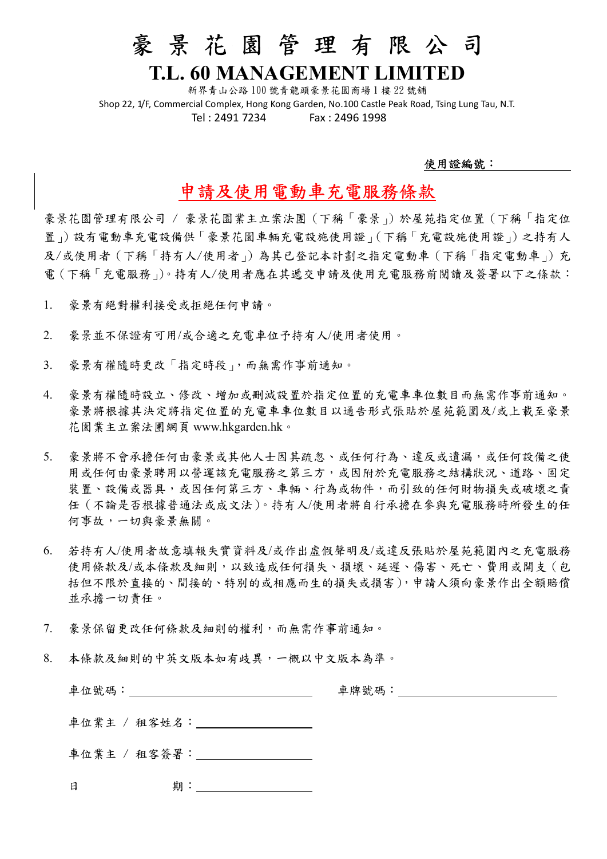## 豪 景 花 園 管 理 有 限 公 司

### T.L. 60 MANAGEMENT LIMITED

新界青山公路 100 號青龍頭豪景花園商場 1 樓 22 號舖 Shop 22, 1/F, Commercial Complex, Hong Kong Garden, No.100 Castle Peak Road, Tsing Lung Tau, N.T. Tel : 2491 7234 Fax : 2496 1998

#### 使用證編號:

### 申請及使用電動車充電服務條款

豪景花園管理有限公司 / 豪景花園業主立案法團(下稱「豪景」)於屋苑指定位置(下稱「指定位 置」)設有電動車充電設備供「豪景花園車輛充電設施使用證」(下稱「充電設施使用證」)之持有人 及/或使用者(下稱「持有人/使用者」)為其已登記本計劃之指定電動車(下稱「指定電動車」)充 電(下稱「充電服務」)。持有人/使用者應在其遞交申請及使用充電服務前閱讀及簽署以下之條款:

- 1. 豪景有絕對權利接受或拒絕任何申請。
- 2. 豪景並不保證有可用/或合適之充電車位予持有人/使用者使用。
- 3. 豪景有權隨時更改「指定時段」,而無需作事前通知。
- 4. 豪景有權隨時設立、修改、增加或刪減設置於指定位置的充電車車位數目而無需作事前通知。 豪景將根據其決定將指定位置的充電車車位數目以通告形式張貼於屋苑範圍及/或上載至豪景 花園業主立案法團網頁 www.hkgarden.hk。
- 5. 豪景將不會承擔任何由豪景或其他人士因其疏忽、或任何行為、違反或遺漏,或任何設備之使 用或任何由豪景聘用以營運該充電服務之第三方,或因附於充電服務之結構狀況、道路、固定 装置、設備或器具,或因任何第三方、車輛、行為或物件,而引致的任何財物損失或破壞之責 任(不論是否根據普通法或成文法)。持有人/使用者將自行承擔在參與充電服務時所發生的任 何事故,一切與豪景無關。
- 6. 若持有人/使用者故意填報失實資料及/或作出虛假聲明及/或違反張貼於屋苑範圍內之充電服務 使用條款及/或本條款及細則,以致造成任何損失、損壞、延遲、傷害、死亡、費用或開支(包 括但不限於直接的、間接的、特別的或相應而生的損失或損害),申請人須向豪景作出全額賠償 並承擔一切責任。
- 7. 豪景保留更改任何條款及細則的權利,而無需作事前通知。
- 8. 本條款及細則的中英文版本如有歧異,一概以中文版本為準。

| 車位號碼:        | 車牌號碼: |
|--------------|-------|
| 車位業主 / 租客姓名: |       |
| 車位業主 / 租客簽署: |       |

日 期: